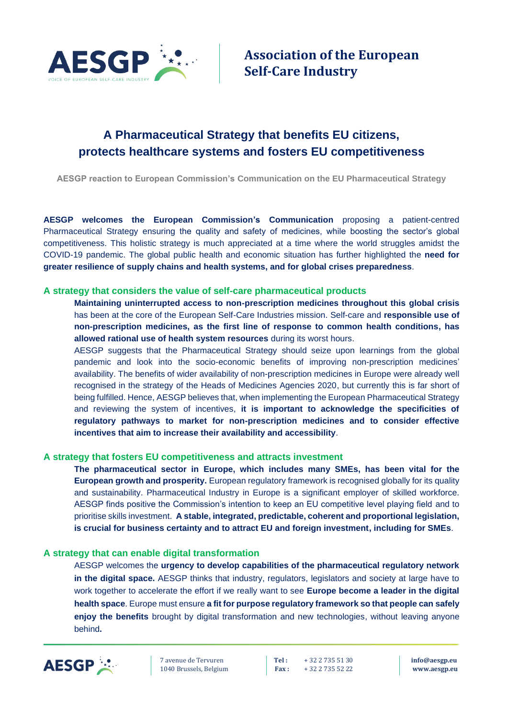

# **A Pharmaceutical Strategy that benefits EU citizens, protects healthcare systems and fosters EU competitiveness**

**AESGP reaction to European Commission's Communication on the EU Pharmaceutical Strategy**

**AESGP welcomes the European Commission's Communication** proposing a patient-centred Pharmaceutical Strategy ensuring the quality and safety of medicines, while boosting the sector's global competitiveness. This holistic strategy is much appreciated at a time where the world struggles amidst the COVID-19 pandemic. The global public health and economic situation has further highlighted the **need for greater resilience of supply chains and health systems, and for global crises preparedness**.

## **A strategy that considers the value of self-care pharmaceutical products**

**Maintaining uninterrupted access to non-prescription medicines throughout this global crisis** has been at the core of the European Self-Care Industries mission. Self-care and **responsible use of non-prescription medicines, as the first line of response to common health conditions, has allowed rational use of health system resources** during its worst hours.

AESGP suggests that the Pharmaceutical Strategy should seize upon learnings from the global pandemic and look into the socio-economic benefits of improving non-prescription medicines' availability. The benefits of wider availability of non-prescription medicines in Europe were already well recognised in the strategy of the Heads of Medicines Agencies 2020, but currently this is far short of being fulfilled. Hence, AESGP believes that, when implementing the European Pharmaceutical Strategy and reviewing the system of incentives, **it is important to acknowledge the specificities of regulatory pathways to market for non-prescription medicines and to consider effective incentives that aim to increase their availability and accessibility**.

## **A strategy that fosters EU competitiveness and attracts investment**

**The pharmaceutical sector in Europe, which includes many SMEs, has been vital for the European growth and prosperity.** European regulatory framework is recognised globally for its quality and sustainability. Pharmaceutical Industry in Europe is a significant employer of skilled workforce. AESGP finds positive the Commission's intention to keep an EU competitive level playing field and to prioritise skills investment. **A stable, integrated, predictable, coherent and proportional legislation, is crucial for business certainty and to attract EU and foreign investment, including for SMEs**.

#### **A strategy that can enable digital transformation**

AESGP welcomes the **urgency to develop capabilities of the pharmaceutical regulatory network in the digital space.** AESGP thinks that industry, regulators, legislators and society at large have to work together to accelerate the effort if we really want to see **Europe become a leader in the digital health space**. Europe must ensure **a fit for purpose regulatory framework so that people can safely enjoy the benefits** brought by digital transformation and new technologies, without leaving anyone behind**.**



7 avenue de Tervuren **Tel :** + 32 2 735 51 30 **[info@aesgp.eu](mailto:info@aesgp.eu)** 1040 Brussels, Belgium **Fax :** + 32 2 735 52 22 **[www.aesgp.eu](http://www.aesgp.eu/)**